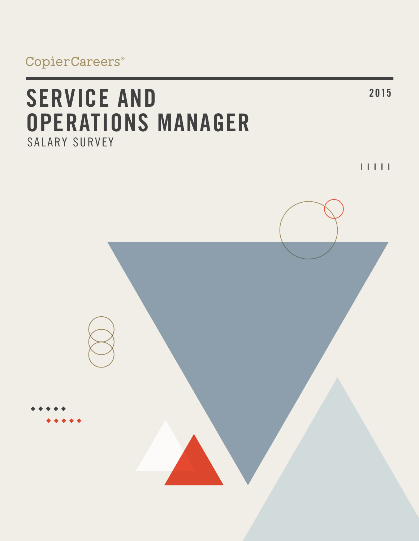# **<sup>2015</sup> SERVICE AND OPERATIONS MANAGER** SALARY SURVEY

 $11111$ 

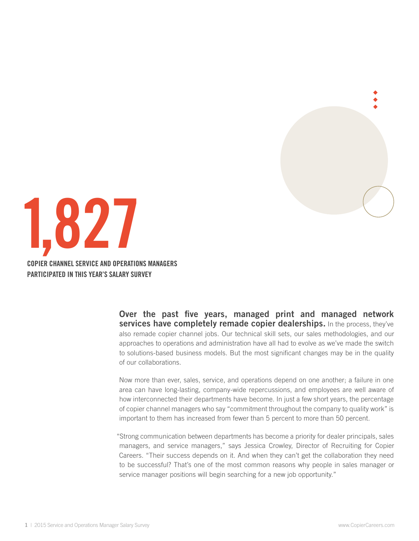



**Over the past five years, managed print and managed network services have completely remade copier dealerships.** In the process, they've also remade copier channel jobs. Our technical skill sets, our sales methodologies, and our approaches to operations and administration have all had to evolve as we've made the switch to solutions-based business models. But the most significant changes may be in the quality of our collaborations.

Now more than ever, sales, service, and operations depend on one another; a failure in one area can have long-lasting, company-wide repercussions, and employees are well aware of how interconnected their departments have become. In just a few short years, the percentage of copier channel managers who say "commitment throughout the company to quality work" is important to them has increased from fewer than 5 percent to more than 50 percent.

"Strong communication between departments has become a priority for dealer principals, sales managers, and service managers," says Jessica Crowley, Director of Recruiting for Copier Careers. "Their success depends on it. And when they can't get the collaboration they need to be successful? That's one of the most common reasons why people in sales manager or service manager positions will begin searching for a new job opportunity."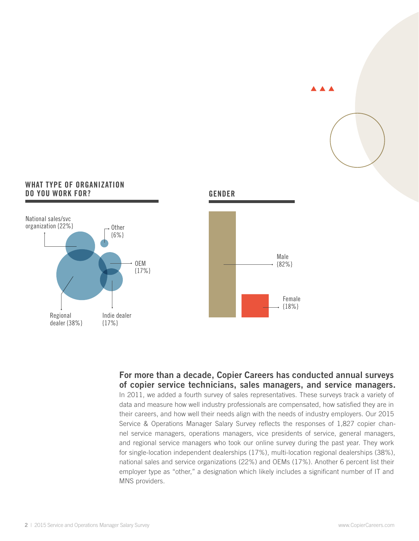

#### **WhAT type of organization do you work for?**



# **For more than a decade, Copier Careers has conducted annual surveys of copier service technicians, sales managers, and service managers.**

**Gender**

In 2011, we added a fourth survey of sales representatives. These surveys track a variety of data and measure how well industry professionals are compensated, how satisfied they are in their careers, and how well their needs align with the needs of industry employers. Our 2015 Service & Operations Manager Salary Survey reflects the responses of 1,827 copier channel service managers, operations managers, vice presidents of service, general managers, and regional service managers who took our online survey during the past year. They work for single-location independent dealerships (17%), multi-location regional dealerships (38%), national sales and service organizations (22%) and OEMs (17%). Another 6 percent list their employer type as "other," a designation which likely includes a significant number of IT and MNS providers.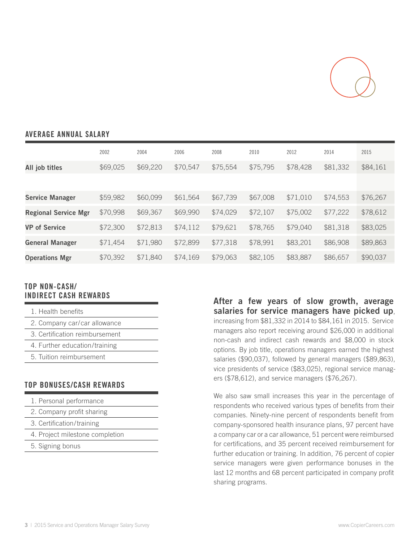

## **Average annual SALARY**

|                             | 2002     | 2004     | 2006     | 2008     | 2010     | 2012     | 2014     | 2015     |
|-----------------------------|----------|----------|----------|----------|----------|----------|----------|----------|
| All job titles              | \$69,025 | \$69,220 | \$70,547 | \$75,554 | \$75,795 | \$78,428 | \$81,332 | \$84,161 |
|                             |          |          |          |          |          |          |          |          |
| <b>Service Manager</b>      | \$59,982 | \$60,099 | \$61,564 | \$67,739 | \$67,008 | \$71,010 | \$74,553 | \$76,267 |
| <b>Regional Service Mgr</b> | \$70,998 | \$69,367 | \$69,990 | \$74,029 | \$72,107 | \$75,002 | \$77,222 | \$78,612 |
| <b>VP</b> of Service        | \$72,300 | \$72,813 | \$74,112 | \$79,621 | \$78,765 | \$79,040 | \$81,318 | \$83,025 |
| <b>General Manager</b>      | \$71,454 | \$71,980 | \$72,899 | \$77,318 | \$78,991 | \$83,201 | \$86,908 | \$89,863 |
| <b>Operations Mgr</b>       | \$70,392 | \$71,840 | \$74,169 | \$79,063 | \$82,105 | \$83,887 | \$86,657 | \$90,037 |

#### **Top non-cash/ indirect cash rewards**

| 1. Health benefits             |
|--------------------------------|
| 2. Company car/car allowance   |
| 3. Certification reimbursement |
| 4. Further education/training  |
| 5. Tuition reimbursement       |

## **Top BONUSES/CASH REWARDS**

- 1. Personal performance
- 2. Company profit sharing
- 3. Certification/training
- 4. Project milestone completion
- 5. Signing bonus

**After a few years of slow growth, average salaries for service managers have picked up**, increasing from \$81,332 in 2014 to \$84,161 in 2015. Service managers also report receiving around \$26,000 in additional non-cash and indirect cash rewards and \$8,000 in stock options. By job title, operations managers earned the highest salaries (\$90,037), followed by general managers (\$89,863), vice presidents of service (\$83,025), regional service managers (\$78,612), and service managers (\$76,267).

We also saw small increases this year in the percentage of respondents who received various types of benefits from their companies. Ninety-nine percent of respondents benefit from company-sponsored health insurance plans, 97 percent have a company car or a car allowance, 51 percent were reimbursed for certifications, and 35 percent received reimbursement for further education or training. In addition, 76 percent of copier service managers were given performance bonuses in the last 12 months and 68 percent participated in company profit sharing programs.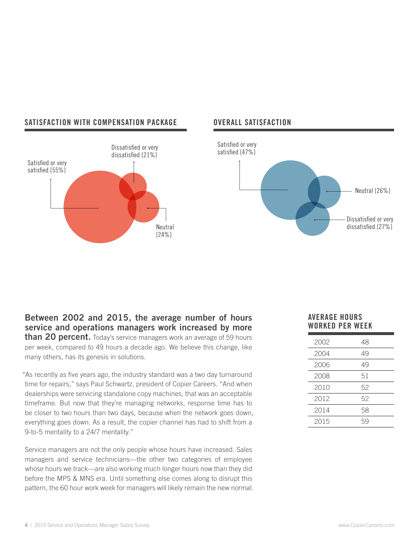

#### **Satisfaction with compensation package Overall satisfaction**



#### **Between 2002 and 2015, the average number of hours service and operations managers work increased by more than 20 percent.** Today's service managers work an average of 59 hours per week, compared to 49 hours a decade ago. We believe this change, like

many others, has its genesis in solutions.

"As recently as five years ago, the industry standard was a two day turnaround time for repairs," says Paul Schwartz, president of Copier Careers. "And when dealerships were servicing standalone copy machines, that was an acceptable timeframe. But now that they're managing networks, response time has to be closer to two hours than two days, because when the network goes down, everything goes down. As a result, the copier channel has had to shift from a 9-to-5 mentality to a 24/7 mentality."

Service managers are not the only people whose hours have increased. Sales managers and service technicians—the other two categories of employee whose hours we track—are also working much longer hours now than they did before the MPS & MNS era. Until something else comes along to disrupt this pattern, the 60 hour work week for managers will likely remain the new normal.

#### **Average Hours worked per week**

| 2002 | 48 |
|------|----|
| 2004 | 49 |
| 2006 | 49 |
| 2008 | 51 |
| 2010 | 52 |
| 2012 | 52 |
| 2014 | 58 |
| 2015 | 59 |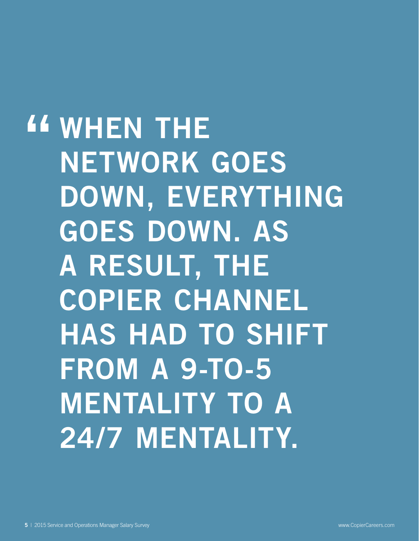**EXAMPLE SET THE SET WORK NETWORK GOES DOWN, EVERYTHING GOES DOWN. AS A RESULT, THE COPIER CHANNEL HAS HAD TO SHIFT FROM A 9-TO-5 MENTALITY TO A 24/7 MENTALITY.**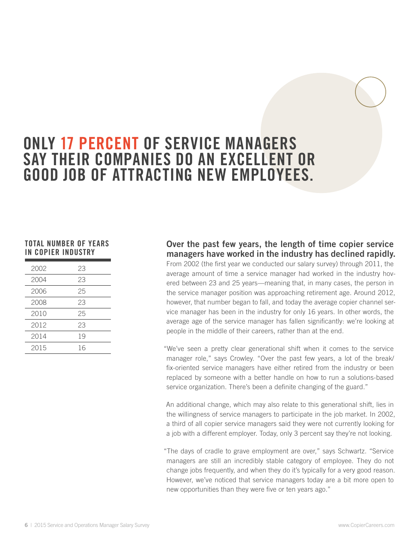# **ONLY 17 PERCENT OF SERVICE MANAGERS SAY THEIR COMPANIES DO AN EXCELLENT OR GOOD JOB OF ATTRACTING NEW EMPLOYEES.**

#### **TOTAL NUMBER OF YEARS IN COPIER INDUSTRY**

| 2002 | 23 |
|------|----|
| 2004 | 23 |
| 2006 | 25 |
| 2008 | 23 |
| 2010 | 25 |
| 2012 | 23 |
| 2014 | 19 |
| 2015 | 16 |

# **Over the past few years, the length of time copier service managers have worked in the industry has declined rapidly.**

From 2002 (the first year we conducted our salary survey) through 2011, the average amount of time a service manager had worked in the industry hovered between 23 and 25 years—meaning that, in many cases, the person in the service manager position was approaching retirement age. Around 2012, however, that number began to fall, and today the average copier channel service manager has been in the industry for only 16 years. In other words, the average age of the service manager has fallen significantly: we're looking at people in the middle of their careers, rather than at the end.

"We've seen a pretty clear generational shift when it comes to the service manager role," says Crowley. "Over the past few years, a lot of the break/ fix-oriented service managers have either retired from the industry or been replaced by someone with a better handle on how to run a solutions-based service organization. There's been a definite changing of the guard."

An additional change, which may also relate to this generational shift, lies in the willingness of service managers to participate in the job market. In 2002, a third of all copier service managers said they were not currently looking for a job with a different employer. Today, only 3 percent say they're not looking.

"The days of cradle to grave employment are over," says Schwartz. "Service managers are still an incredibly stable category of employee. They do not change jobs frequently, and when they do it's typically for a very good reason. However, we've noticed that service managers today are a bit more open to new opportunities than they were five or ten years ago."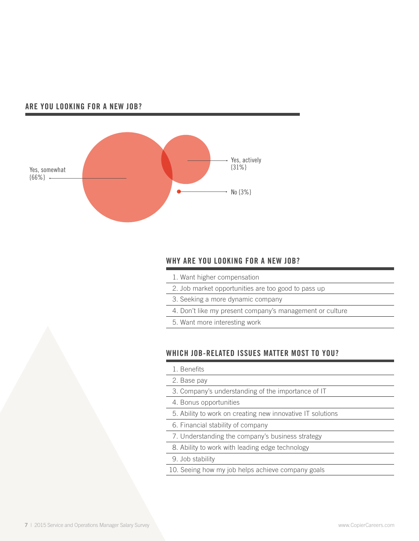#### **Are you looking for a new job?**



# **WHY ARE YOU LOOKING FOR A NEW JOB?**

- 1. Want higher compensation
- 2. Job market opportunities are too good to pass up
- 3. Seeking a more dynamic company
- 4. Don't like my present company's management or culture
- 5. Want more interesting work

# **WHich job-related issues matter most to YOu?**

- 1. Benefits
- 2. Base pay
- 3. Company's understanding of the importance of IT
- 4. Bonus opportunities
- 5. Ability to work on creating new innovative IT solutions
- 6. Financial stability of company
- 7. Understanding the company's business strategy
- 8. Ability to work with leading edge technology
- 9. Job stability
- 10. Seeing how my job helps achieve company goals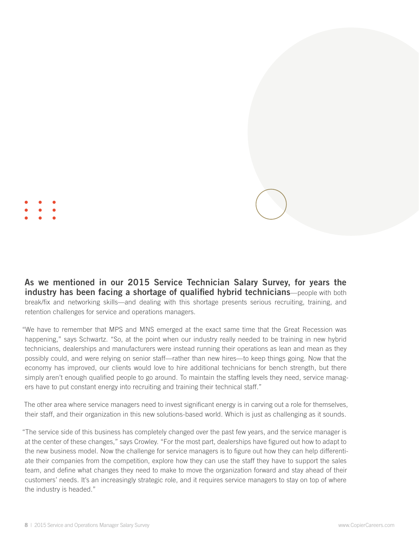**As we mentioned in our 2015 Service Technician Salary Survey, for years the industry has been facing a shortage of qualified hybrid technicians**—people with both break/fix and networking skills—and dealing with this shortage presents serious recruiting, training, and retention challenges for service and operations managers.

"We have to remember that MPS and MNS emerged at the exact same time that the Great Recession was happening," says Schwartz. "So, at the point when our industry really needed to be training in new hybrid technicians, dealerships and manufacturers were instead running their operations as lean and mean as they possibly could, and were relying on senior staff—rather than new hires—to keep things going. Now that the economy has improved, our clients would love to hire additional technicians for bench strength, but there simply aren't enough qualified people to go around. To maintain the staffing levels they need, service managers have to put constant energy into recruiting and training their technical staff."

The other area where service managers need to invest significant energy is in carving out a role for themselves, their staff, and their organization in this new solutions-based world. Which is just as challenging as it sounds.

"The service side of this business has completely changed over the past few years, and the service manager is at the center of these changes," says Crowley. "For the most part, dealerships have figured out how to adapt to the new business model. Now the challenge for service managers is to figure out how they can help differentiate their companies from the competition, explore how they can use the staff they have to support the sales team, and define what changes they need to make to move the organization forward and stay ahead of their customers' needs. It's an increasingly strategic role, and it requires service managers to stay on top of where the industry is headed."